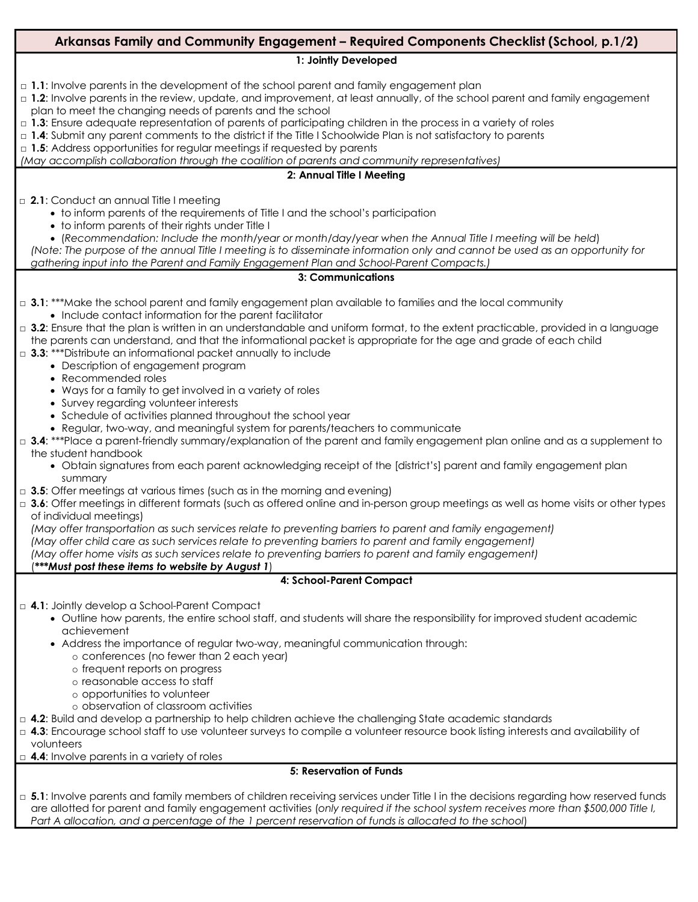# **Arkansas Family and Community Engagement – Required Components Checklist (School, p.1/2)**

#### **1: Jointly Developed**

- □ 1.1: Involve parents in the development of the school parent and family engagement plan
- □ 1.2: Involve parents in the review, update, and improvement, at least annually, of the school parent and family engagement plan to meet the changing needs of parents and the school
- □ **1.3**: Ensure adequate representation of parents of participating children in the process in a variety of roles
- □ 1.4: Submit any parent comments to the district if the Title I Schoolwide Plan is not satisfactory to parents

□ 1.5: Address opportunities for regular meetings if requested by parents

*(May accomplish collaboration through the coalition of parents and community representatives)*

#### **2: Annual Title I Meeting**

□ 2.1: Conduct an annual Title I meeting

- to inform parents of the requirements of Title I and the school's participation
- to inform parents of their rights under Title I
- (*Recommendation: Include the month/year or month/day/year when the Annual Title I meeting will be held*)

*(Note: The purpose of the annual Title I meeting is to disseminate information only and cannot be used as an opportunity for gathering input into the Parent and Family Engagement Plan and School-Parent Compacts.)*

#### **3: Communications**

- □ **3.1**: \*\*\*Make the school parent and family engagement plan available to families and the local community • Include contact information for the parent facilitator
- □ **3.2**: Ensure that the plan is written in an understandable and uniform format, to the extent practicable, provided in a language the parents can understand, and that the informational packet is appropriate for the age and grade of each child
- □ **3.3**: \*\*\*Distribute an informational packet annually to include
	- Description of engagement program
	- Recommended roles
	- Ways for a family to get involved in a variety of roles
	- Survey regarding volunteer interests
	- Schedule of activities planned throughout the school year
	- Regular, two-way, and meaningful system for parents/teachers to communicate
- □ 3.4: \*\*\*Place a parent-friendly summary/explanation of the parent and family engagement plan online and as a supplement to the student handbook
	- Obtain signatures from each parent acknowledging receipt of the [district's] parent and family engagement plan summary
- $\Box$  **3.5**: Offer meetings at various times (such as in the morning and evening)
- □ 3.6: Offer meetings in different formats (such as offered online and in-person group meetings as well as home visits or other types of individual meetings)

*(May offer transportation as such services relate to preventing barriers to parent and family engagement)*

*(May offer child care as such services relate to preventing barriers to parent and family engagement)*

*(May offer home visits as such services relate to preventing barriers to parent and family engagement)*

## (*\*\*\*Must post these items to website by August 1*)

## **4: School-Parent Compact**

□ **4.1**: Jointly develop a School-Parent Compact

- Outline how parents, the entire school staff, and students will share the responsibility for improved student academic achievement
- Address the importance of regular two-way, meaningful communication through:
	- o conferences (no fewer than 2 each year)
	- o frequent reports on progress
	- o reasonable access to staff
	- o opportunities to volunteer
	- o observation of classroom activities
- □ **4.2**: Build and develop a partnership to help children achieve the challenging State academic standards
- □ 4.3: Encourage school staff to use volunteer surveys to compile a volunteer resource book listing interests and availability of volunteers

□ 4.4: Involve parents in a variety of roles

## **5: Reservation of Funds**

□ 5.1: Involve parents and family members of children receiving services under Title I in the decisions regarding how reserved funds are allotted for parent and family engagement activities (*only required if the school system receives more than \$500,000 Title I, Part A allocation, and a percentage of the 1 percent reservation of funds is allocated to the school*)